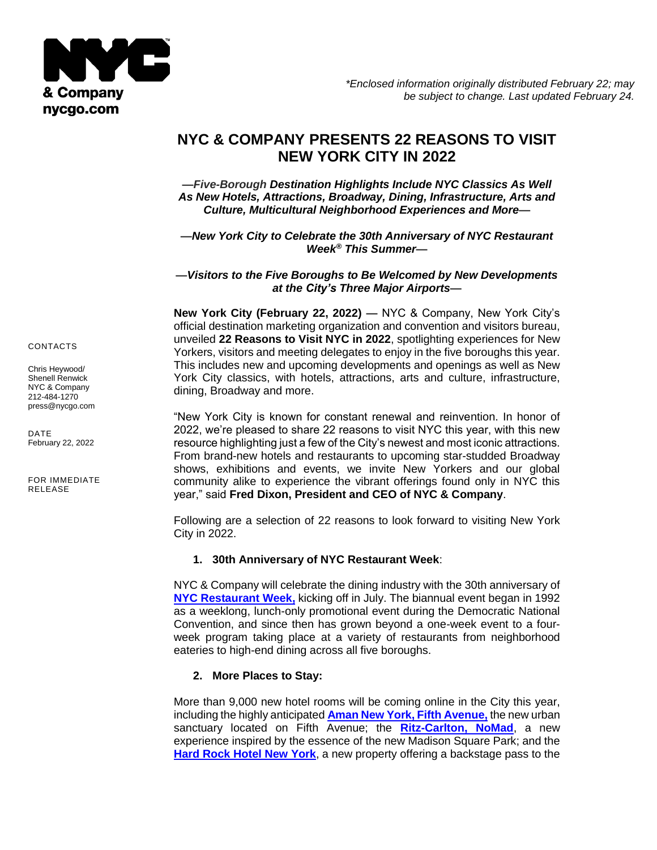

# **NYC & COMPANY PRESENTS 22 REASONS TO VISIT NEW YORK CITY IN 2022**

**—***Five-Borough Destination Highlights Include NYC Classics As Well As New Hotels, Attractions, Broadway, Dining, Infrastructure, Arts and Culture, Multicultural Neighborhood Experiences and More***—**

**—***New York City to Celebrate the 30th Anniversary of NYC Restaurant Week® This Summer***—**

**—***Visitors to the Five Boroughs to Be Welcomed by New Developments at the City's Three Major Airports***—**

**New York City (February 22, 2022) —** NYC & Company, New York City's official destination marketing organization and convention and visitors bureau, unveiled **22 Reasons to Visit NYC in 2022**, spotlighting experiences for New Yorkers, visitors and meeting delegates to enjoy in the five boroughs this year. This includes new and upcoming developments and openings as well as New York City classics, with hotels, attractions, arts and culture, infrastructure, dining, Broadway and more.

"New York City is known for constant renewal and reinvention. In honor of 2022, we're pleased to share 22 reasons to visit NYC this year, with this new resource highlighting just a few of the City's newest and most iconic attractions. From brand-new hotels and restaurants to upcoming star-studded Broadway shows, exhibitions and events, we invite New Yorkers and our global community alike to experience the vibrant offerings found only in NYC this year," said **Fred Dixon, President and CEO of NYC & Company**.

Following are a selection of 22 reasons to look forward to visiting New York City in 2022.

#### **1. 30th Anniversary of NYC Restaurant Week**:

NYC & Company will celebrate the dining industry with the 30th anniversary of **[NYC Restaurant Week,](https://www.nycgo.com/restaurantweek)** kicking off in July. The biannual event began in 1992 as a weeklong, lunch-only promotional event during the Democratic National Convention, and since then has grown beyond a one-week event to a fourweek program taking place at a variety of restaurants from neighborhood eateries to high-end dining across all five boroughs.

# **2. More Places to Stay:**

More than 9,000 new hotel rooms will be coming online in the City this year, including the highly anticipated **[Aman New York, Fifth Avenue,](https://www.aman.com/hotels/aman-new-york)** the new urban sanctuary located on Fifth Avenue; the **[Ritz-Carlton, NoMad](https://www.ritzcarlton.com/en/hotels/new-york/nomad)**, a new experience inspired by the essence of the new Madison Square Park; and the **[Hard Rock Hotel New York](https://www.hardrockhotels.com/new-york/)**, a new property offering a backstage pass to the

CONTACTS

Chris Heywood/ Shenell Renwick NYC & Company 212-484-1270 [press@nycgo.com](mailto:press@nycgo.com)

DATE February 22, 2022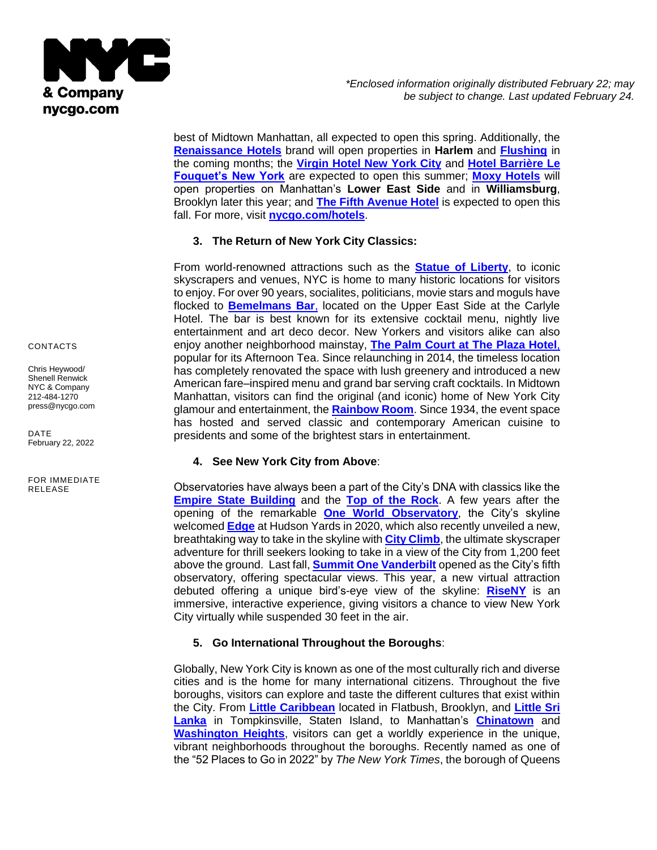

best of Midtown Manhattan, all expected to open this spring. Additionally, the **[Renaissance](https://renaissance-hotels.marriott.com/) Hotels** brand will open properties in **Harlem** and **[Flushing](https://renaissance-hotels.marriott.com/new-york-flushing-hotel)** in the coming months; the **[Virgin Hotel New York City](https://virginhotels.com/coming-soon/)** and **[Hotel Barrière Le](https://www.hotelsbarriere.com/en/new-york/fouquets.html)  [Fouquet's New York](https://www.hotelsbarriere.com/en/new-york/fouquets.html)** are expected to open this summer; **[Moxy Hotels](https://moxy-hotels.marriott.com/)** will open properties on Manhattan's **Lower East Side** and in **Williamsburg**, Brooklyn later this year; and **[The Fifth Avenue Hotel](https://www.thefifthavenuehotel.com/)** is expected to open this fall. For more, visit **[nycgo.com/hotels](http://www.nycgo.com/hotels)**.

### **3. The Return of New York City Classics:**

From world-renowned attractions such as the **[Statue of Liberty](https://www.statueofliberty.org/statue-of-liberty/)**, to iconic skyscrapers and venues, NYC is home to many historic locations for visitors to enjoy. For over 90 years, socialites, politicians, movie stars and moguls have flocked to **[Bemelmans Bar](https://www.rosewoodhotels.com/en/the-carlyle-new-york/dining/bemelmans-bar)**, located on the Upper East Side at the Carlyle Hotel. The bar is best known for its extensive cocktail menu, nightly live entertainment and art deco decor. New Yorkers and visitors alike can also enjoy another neighborhood mainstay, **[The Palm Court at The Plaza Hotel](https://www.theplazany.com/dining/the-palm-court/)**, popular for its Afternoon Tea. Since relaunching in 2014, the timeless location has completely renovated the space with lush greenery and introduced a new American fare–inspired menu and grand bar serving craft cocktails. In Midtown Manhattan, visitors can find the original (and iconic) home of New York City glamour and entertainment, the **[Rainbow Room](https://www.rockefellercenter.com/attractions/rainbow-room/)**. Since 1934, the event space has hosted and served classic and contemporary American cuisine to presidents and some of the brightest stars in entertainment.

# **4. See New York City from Above**:

Observatories have always been a part of the City's DNA with classics like the **[Empire State Building](https://www.esbnyc.com/)** and the **[Top of the Rock](https://www.topoftherocknyc.com/)**. A few years after the opening of the remarkable **[One World Observatory](https://www.oneworldobservatory.com/)**, the City's skyline welcomed **[Edge](https://www.edgenyc.com/en)** at Hudson Yards in 2020, which also recently unveiled a new, breathtaking way to take in the skyline with **[City Climb](https://www.edgenyc.com/en/cityclimb?gclid=Cj0KCQiAjJOQBhCkARIsAEKMtO1g4T0BOP7E5BBjdtgZ2pQFYiQ_qIXQTTGsxUkVgDw40Q7rn5K8B-YaAiSZEALw_wcB)**, the ultimate skyscraper adventure for thrill seekers looking to take in a view of the City from 1,200 feet above the ground. Last fall, **[Summit One Vanderbilt](https://summitov.com/tickets/?gclid=CjwKCAiA6Y2QBhAtEiwAGHybPe_lHoVXxFeuxSkxQ20rGZOQ3lDyiarXRzOGitoM4c5dDOxAtOZPFhoCofYQAvD_BwE)** opened as the City's fifth observatory, offering spectacular views. This year, a new virtual attraction debuted offering a unique bird's-eye view of the skyline: **[RiseNY](https://www.riseny.co/)** is an immersive, interactive experience, giving visitors a chance to view New York City virtually while suspended 30 feet in the air.

# **5. Go International Throughout the Boroughs**:

Globally, New York City is known as one of the most culturally rich and diverse cities and is the home for many international citizens. Throughout the five boroughs, visitors can explore and taste the different cultures that exist within the City. From **[Little Caribbean](https://www.littlecaribbean.nyc/)** located in Flatbush, Brooklyn, and **[Little Sri](https://www.nycgo.com/boroughs-neighborhoods/staten-island/tompkinsville/)  [Lanka](https://www.nycgo.com/boroughs-neighborhoods/staten-island/tompkinsville/)** in Tompkinsville, Staten Island, to Manhattan's **[Chinatown](https://www.welcometochinatown.com/)** and **[Washington Heights](https://www.nycgo.com/boroughs-neighborhoods/manhattan/washington-heights/)**, visitors can get a worldly experience in the unique, vibrant neighborhoods throughout the boroughs. Recently named as one of the "52 Places to Go in 2022" by *The New York Times*, the borough of Queens

CONTACTS

Chris Heywood/ Shenell Renwick NYC & Company 212-484-1270 [press@nycgo.com](mailto:press@nycgo.com)

DATE February 22, 2022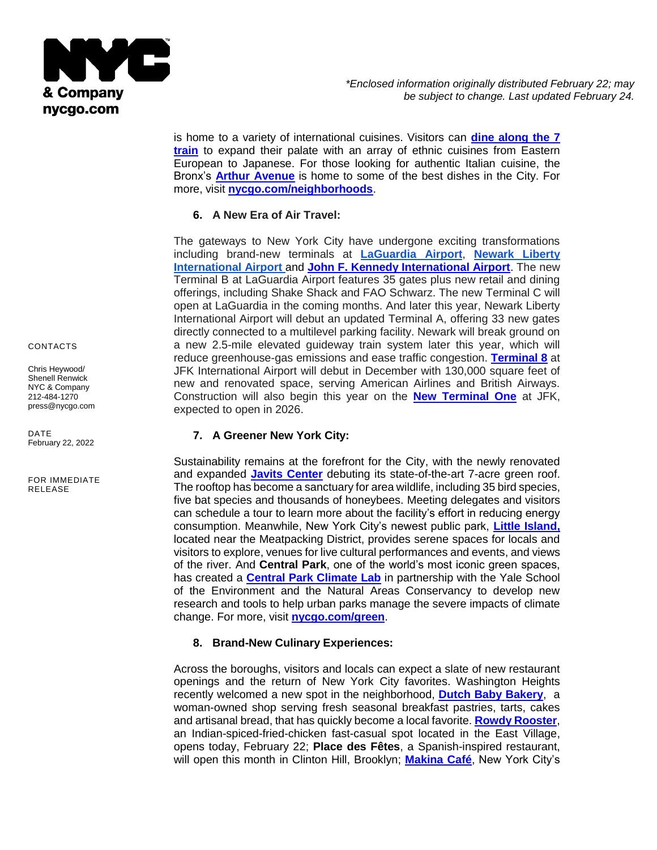

is home to a variety of international cuisines. Visitors can **[dine along the 7](https://www.nycgo.com/articles/seventh-heaven-dining-along-the-7-train-slideshow/)  [train](https://www.nycgo.com/articles/seventh-heaven-dining-along-the-7-train-slideshow/)** to expand their palate with an array of ethnic cuisines from Eastern European to Japanese. For those looking for authentic Italian cuisine, the Bronx's **[Arthur Avenue](https://www.arthuravenuebronx.com/)** is home to some of the best dishes in the City. For more, visit **[nycgo.com/neighborhoods](http://www.nycgo.com/neighborhoods)**.

# **6. A New Era of Air Travel:**

The gateways to New York City have undergone exciting transformations including brand-new terminals at **[LaGuardia Airport](https://www.anewlga.com/)**, **[Newark Liberty](https://www.ewrredevelopment.com/)  [International Airport](https://www.ewrredevelopment.com/)** and **[John F. Kennedy International Airport](https://www.anewjfk.com/)**. The new Terminal B at LaGuardia Airport features 35 gates plus new retail and dining offerings, including Shake Shack and FAO Schwarz. The new Terminal C will open at LaGuardia in the coming months. And later this year, Newark Liberty International Airport will debut an updated Terminal A, offering 33 new gates directly connected to a multilevel parking facility. Newark will break ground on a new 2.5-mile elevated guideway train system later this year, which will reduce greenhouse-gas emissions and ease traffic congestion. **[Terminal 8](https://news.aa.com/news/news-details/2022/American-Airlines-and-British-Airways-Unveil-Exciting-Plans-for-Enhancements-to-the-World-Class-Customer-Experience-at-JFKs-Terminal-8-OPS-INF-01/default.aspx)** at JFK International Airport will debut in December with 130,000 square feet of new and renovated space, serving American Airlines and British Airways. Construction will also begin this year on the **[New Terminal One](https://www.anewjfk.com/projects/the-new-terminal-one/)** at JFK, expected to open in 2026.

# **7. A Greener New York City:**

Sustainability remains at the forefront for the City, with the newly renovated and expanded **[Javits Center](https://javitscenter.com/)** debuting its state-of-the-art 7-acre green roof. The rooftop has become a sanctuary for area wildlife, including 35 bird species, five bat species and thousands of honeybees. Meeting delegates and visitors can schedule a tour to learn more about the facility's effort in reducing energy consumption. Meanwhile, New York City's newest public park, **[Little Island,](https://littleisland.org/)** located near the Meatpacking District, provides serene spaces for locals and visitors to explore, venues for live cultural performances and events, and views of the river. And **Central Park**, one of the world's most iconic green spaces, has created a **[Central Park Climate Lab](https://www.centralparknyc.org/the-central-park-climate-lab)** in partnership with the Yale School of the Environment and the Natural Areas Conservancy to develop new research and tools to help urban parks manage the severe impacts of climate change. For more, visit **[nycgo.com/green](http://www.nycgo.com/green)**.

#### **8. Brand-New Culinary Experiences:**

Across the boroughs, visitors and locals can expect a slate of new restaurant openings and the return of New York City favorites. Washington Heights recently welcomed a new spot in the neighborhood, **[Dutch Baby Bakery](https://www.dutchbabybakery.com/)**, a woman-owned shop serving fresh seasonal breakfast pastries, tarts, cakes and artisanal bread, that has quickly become a local favorite. **[Rowdy Rooster](https://www.rowdyrooster.com/)**, an Indian-spiced-fried-chicken fast-casual spot located in the East Village, opens today, February 22; **Place des Fêtes**, a Spanish-inspired restaurant, will open this month in Clinton Hill, Brooklyn; **[Makina Café](https://makinacafenyc.com/)**, New York City's

CONTACTS

Chris Heywood/ Shenell Renwick NYC & Company 212-484-1270 [press@nycgo.com](mailto:press@nycgo.com)

DATE February 22, 2022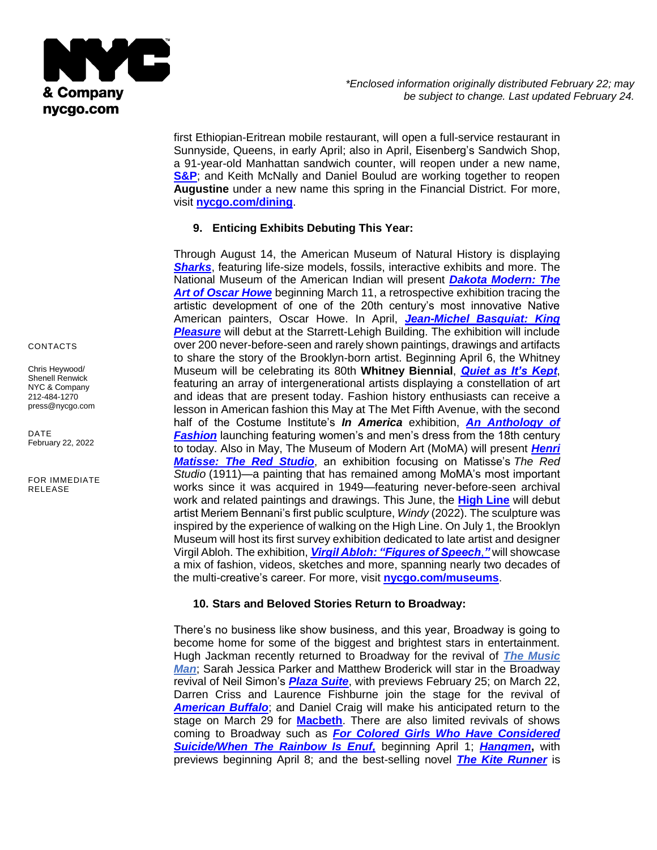

first Ethiopian-Eritrean mobile restaurant, will open a full-service restaurant in Sunnyside, Queens, in early April; also in April, Eisenberg's Sandwich Shop, a 91-year-old Manhattan sandwich counter, will reopen under a new name, **[S&P](https://eisenbergsnyc.com/flatiron/)**; and Keith McNally and Daniel Boulud are working together to reopen **Augustine** under a new name this spring in the Financial District. For more, visit **[nycgo.com/dining](http://www.nycgo.com/dining)**.

# **9. Enticing Exhibits Debuting This Year:**

Through August 14, the American Museum of Natural History is displaying **[Sharks](https://www.amnh.org/exhibitions/sharks)**, featuring life-size models, fossils, interactive exhibits and more. The National Museum of the American Indian will present *[Dakota Modern: The](https://americanindian.si.edu/explore/exhibitions/item?id=985)*  **[Art of Oscar Howe](https://americanindian.si.edu/explore/exhibitions/item?id=985)** beginning March 11, a retrospective exhibition tracing the artistic development of one of the 20th century's most innovative Native American painters, Oscar Howe. In April, *[Jean-Michel Basquiat: King](https://kingpleasure.basquiat.com/#exhibition)*  **[Pleasure](https://kingpleasure.basquiat.com/#exhibition)** will debut at the Starrett-Lehigh Building. The exhibition will include over 200 never-before-seen and rarely shown paintings, drawings and artifacts to share the story of the Brooklyn-born artist. Beginning April 6, the Whitney Museum will be celebrating its 80th **Whitney Biennial**, *[Quiet as It's Kept](https://whitney.org/exhibitions/2022-biennial?gclid=Cj0KCQiAr5iQBhCsARIsAPcwROOWVsbWySJpKaOT_cegxAUhDCiDsJ_Fb3mJp5CP2vEepJXuEZYwj2oaAhf8EALw_wcB)*, featuring an array of intergenerational artists displaying a constellation of art and ideas that are present today. Fashion history enthusiasts can receive a lesson in American fashion this May at The Met Fifth Avenue, with the second half of the Costume Institute's *In America* exhibition, *[An Anthology of](https://www.metmuseum.org/press/exhibitions/2021/costume-institute-in-america)  [Fashion](https://www.metmuseum.org/press/exhibitions/2021/costume-institute-in-america)* launching featuring women's and men's dress from the 18th century to today. Also in May, The Museum of Modern Art (MoMA) will present *[Henri](https://press.moma.org/exhibition/matisse-the-red-studio/) [Matisse:](https://press.moma.org/exhibition/matisse-the-red-studio/) The Red Studio*, an exhibition focusing on Matisse's *The Red Studio* (1911)—a painting that has remained among MoMA's most important works since it was acquired in 1949—featuring never-before-seen archival work and related paintings and drawings. This June, the **[High Line](https://www.thehighline.org/)** will debut artist Meriem Bennani's first public sculpture, *Windy* (2022). The sculpture was inspired by the experience of walking on the High Line. On July 1, the Brooklyn Museum will host its first survey exhibition dedicated to late artist and designer Virgil Abloh. The exhibition, *[Virgil Abloh: "Figures of Speech](https://www.brooklynmuseum.org/exhibitions/virgil_abloh#:~:text=Virgil%20Abloh%3A%20%E2%80%9CFigures%20of%20Speech%E2%80%9D%20is%20the%20first%20museum,White%3B%20and%20items%20from%20Louis)*,*"* will showcase a mix of fashion, videos, sketches and more, spanning nearly two decades of the multi-creative's career. For more, visit **[nycgo.com/museums](http://www.nycgo.com/museums)**.

# **10. Stars and Beloved Stories Return to Broadway:**

There's no business like show business, and this year, Broadway is going to become home for some of the biggest and brightest stars in entertainment. Hugh Jackman recently returned to Broadway for the revival of *[The Music](https://musicmanonbroadway.com/tickets/?utm_source=google&utm_medium=cpc&utm_campaign=The+Music+Man+2022&gclid=EAIaIQobChMI5_rWya2C9gIVCYizCh048wMXEAAYASAAEgKMi_D_BwE)  [Man](https://musicmanonbroadway.com/tickets/?utm_source=google&utm_medium=cpc&utm_campaign=The+Music+Man+2022&gclid=EAIaIQobChMI5_rWya2C9gIVCYizCh048wMXEAAYASAAEgKMi_D_BwE)*; Sarah Jessica Parker and Matthew Broderick will star in the Broadway revival of Neil Simon's *[Plaza Suite](https://plazasuitebroadway.com/)*, with previews February 25; on March 22, Darren Criss and Laurence Fishburne join the stage for the revival of *[American Buffalo](https://americanbuffalonyc.com/?gclsrc=aw.ds&gclid=EAIaIQobChMIl7_Y4K2C9gIVAMmUCR3qjAC8EAAYASAAEgJM5vD_BwE)*; and Daniel Craig will make his anticipated return to the stage on March 29 for **[Macbeth](https://macbethbroadway.com/?utm_source=google&utm_medium=cpc&gclid=EAIaIQobChMI9vHW8K2C9gIVUPvICh18GQOcEAAYAyAAEgILsPD_BwE)**. There are also limited revivals of shows coming to Broadway such as *For [Colored Girls Who Have Considered](https://forcoloredgirlsbway.com/?gclid=Cj0KCQiAr5iQBhCsARIsAPcwROMfCNj0LZBibBImBwoDqJOaiaNgFUjLUKkGCbupl8YrgnLQlJ0nsJkaAh4hEALw_wcB&gclsrc=aw.ds)*  **Suicide/When The Rainbow Is Enuf**, beginning April 1; **[Hangmen](https://hangmenbroadway.com/?gclid=Cj0KCQiAr5iQBhCsARIsAPcwROP3i0CclWnmCTIyWMWS96cDSNoSXfGsGfNq4HqypOd9LPTz0EXjxicaAlQHEALw_wcB)**, with previews beginning April 8; and the best-selling novel *[The Kite Runner](https://thekiterunnerbroadway.com/?utm_source=google&utm_medium=cpc&gclid=Cj0KCQiAr5iQBhCsARIsAPcwROOtq0LBwVkNQqA6W_RlHitBDptfGbOUzfSSFgjbzVIhAxnWB_e4oKAaAqZqEALw_wcB)* is

CONTACTS

Chris Heywood/ Shenell Renwick NYC & Company 212-484-1270 [press@nycgo.com](mailto:press@nycgo.com)

DATE February 22, 2022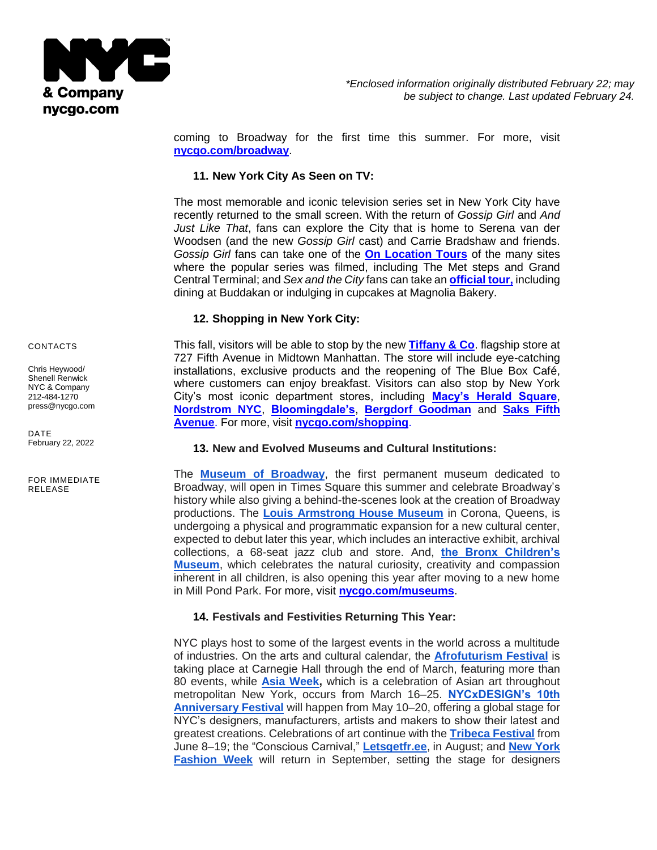

coming to Broadway for the first time this summer. For more, visit **[nycgo.com/broadway](http://www.nycgo.com/broadway)**.

## **11. New York City As Seen on TV:**

The most memorable and iconic television series set in New York City have recently returned to the small screen. With the return of *Gossip Girl* and *And Just Like That*, fans can explore the City that is home to Serena van der Woodsen (and the new *Gossip Girl* cast) and Carrie Bradshaw and friends. *Gossip Girl* fans can take one of the **[On Location Tours](https://onlocationtours.com/new-york-tv-and-movie-tours/gossip-girl/)** of the many sites where the popular series was filmed, including The Met steps and Grand Central Terminal; and *Sex and the City* fans can take an **[official tour,](https://onlocationtours.com/new-york-tv-and-movie-tours/sex-and-the-city-hotspots-tour/?gclid=Cj0KCQiAr5iQBhCsARIsAPcwROMm9y0HrMmg1AAmKyvCqtwz6b89CbxziX2fn3ACBhs4br3GLV_iEBQaAhsWEALw_wcB)** including dining at Buddakan or indulging in cupcakes at Magnolia Bakery.

# **12. Shopping in New York City:**

This fall, visitors will be able to stop by the new **[Tiffany & Co](https://www.tiffany.com/stories/new-york-flagship-next-door/)**. flagship store at 727 Fifth Avenue in Midtown Manhattan. The store will include eye-catching installations, exclusive products and the reopening of The Blue Box Café, where customers can enjoy breakfast. Visitors can also stop by New York City's most iconic department stores, including **[Macy's Herald Square](https://l.macys.com/new-york-ny)**, **[Nordstrom NYC](https://www.nordstrom.com/browse/about/new-york)**, **[Bloomingdale's](https://locations.bloomingdales.com/59th-street)**, **Bergdorf [Goodman](https://www.bergdorfgoodman.com/stores/bergdorf-goodman-womens-store)** and **Saks Fifth Avenue**. For more, visit **[nycgo.com/shopping](http://www.nycgo.com/shopping)**.

#### **13. New and Evolved Museums and Cultural Institutions:**

The **[Museum of Broadway](https://www.themuseumofbroadway.com/)**[,](https://www.themuseumofbroadway.com/) the first permanent museum dedicated to Broadway, will open in Times Square this summer and celebrate Broadway's history while also giving a behind-the-scenes look at the creation of Broadway productions. The **[Louis Armstrong House Museum](https://www.louisarmstronghouse.org/our-new-center/)** in Corona, Queens, is undergoing a physical and programmatic expansion for a new cultural center, expected to debut later this year, which includes an interactive exhibit, archival collections, a 68-seat jazz club and store. And, **[the Bronx Children's](https://www.bronxchildrensmuseum.org/)  [Museum](https://www.bronxchildrensmuseum.org/)**, which celebrates the natural curiosity, creativity and compassion inherent in all children, is also opening this year after moving to a new home in Mill Pond Park. For more, visit **[nycgo.com/museums](http://www.nycgo.com/museums)**.

# **14. Festivals and Festivities Returning This Year:**

NYC plays host to some of the largest events in the world across a multitude of industries. On the arts and cultural calendar, the **[Afrofuturism Festival](https://www.carnegiehall.org/Events/Highlights/Afrofuturism)** is taking place at Carnegie Hall through the end of March, featuring more than 80 events, while **[Asia Week,](https://www.asiaweekny.com/)** which is a celebration of Asian art throughout metropolitan New York, occurs from March 16–25. **[NYCxDESIGN's 10th](https://festival.nycxdesign.org/event-registration/?utm_campaign=The%20Festival&utm_source=hero)  [Anniversary Festival](https://festival.nycxdesign.org/event-registration/?utm_campaign=The%20Festival&utm_source=hero)** will happen from May 10–20, offering a global stage for NYC's designers, manufacturers, artists and makers to show their latest and greatest creations. Celebrations of art continue with the **[Tribeca Festival](https://tribecafilm.com/)** from June 8–19; the "Conscious Carnival," **[Letsgetfr.ee](https://letsgetfr.ee/)**, in August; and **[New York](https://nyfw.com/home/)  [Fashion Week](https://nyfw.com/home/)** will return in September, setting the stage for designers

CONTACTS

Chris Heywood/ Shenell Renwick NYC & Company 212-484-1270 [press@nycgo.com](mailto:press@nycgo.com)

DATE February 22, 2022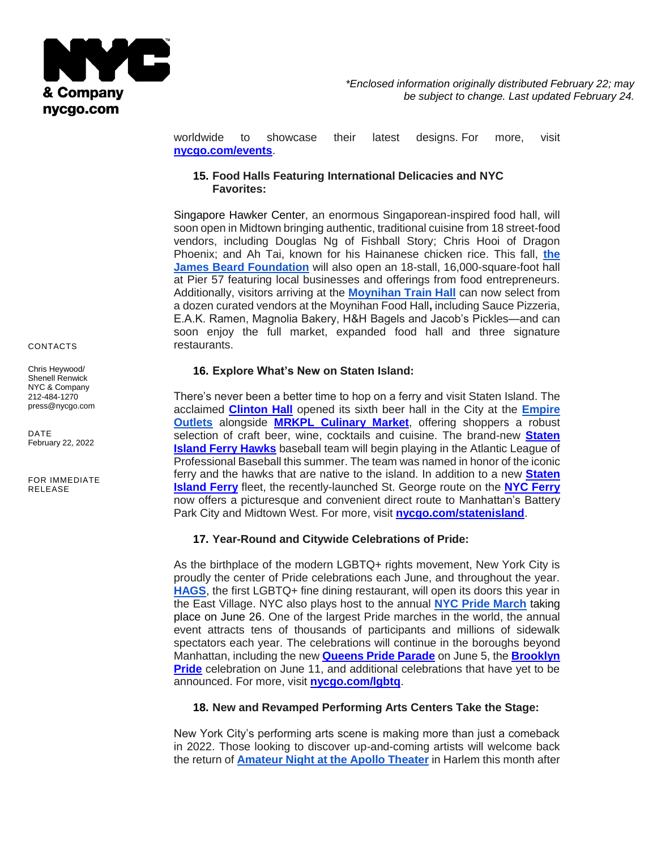

worldwide to showcase their latest designs. For more, visit **[nycgo.com/events](http://www.nycgo.com/events)**.

### **15. Food Halls Featuring International Delicacies and NYC Favorites:**

Singapore Hawker Center, an enormous Singaporean-inspired food hall, will soon open in Midtown bringing authentic, traditional cuisine from 18 street-food vendors, including Douglas Ng of Fishball Story; Chris Hooi of Dragon Phoenix; and Ah Tai, known for his Hainanese chicken rice. This fall, **[the](https://www.jamesbeard.org/)  [James Beard Foundation](https://www.jamesbeard.org/)** will also open an 18-stall, 16,000-square-foot hall at Pier 57 featuring local businesses and offerings from food entrepreneurs. Additionally, visitors arriving at the **[Moynihan Train Hall](https://moynihantrainhall.nyc/)** can now select from a dozen curated vendors at the Moynihan Food Hall**,** including Sauce Pizzeria, E.A.K. Ramen, Magnolia Bakery, H&H Bagels and Jacob's Pickles—and can soon enjoy the full market, expanded food hall and three signature restaurants.

#### **16. Explore What's New on Staten Island:**

There's never been a better time to hop on a ferry and visit Staten Island. The acclaimed **[Clinton Hall](https://clintonhallny.com/staten-island/)** opened its sixth beer hall in the City at the **[Empire](http://empireoutlets.nyc/)  [Outlets](http://empireoutlets.nyc/)** alongside **[MRKPL Culinary Market](http://empireoutlets.nyc/restaurants/mrktpl/)**, offering shoppers a robust selection of craft beer, wine, cocktails and cuisine. The brand-new **[Staten](https://ferryhawks.com/)  [Island Ferry Hawks](https://ferryhawks.com/)** baseball team will begin playing in the Atlantic League of Professional Baseball this summer. The team was named in honor of the iconic ferry and the hawks that are native to the island. In addition to a new **[Staten](https://www.siferry.com/)  [Island Ferry](https://www.siferry.com/)** fleet, the recently-launched St. George route on the **[NYC Ferry](https://www.ferry.nyc/routes-and-schedules/route/st-george/)** now offers a picturesque and convenient direct route to Manhattan's Battery Park City and Midtown West. For more, visit **[nycgo.com/statenisland](http://www.nycgo.com/statenisland)**.

# **17. Year-Round and Citywide Celebrations of Pride:**

As the birthplace of the modern LGBTQ+ rights movement, New York City is proudly the center of Pride celebrations each June, and throughout the year. **[HAGS](https://hagsnyc.com/about)**, the first LGBTQ+ fine dining restaurant, will open its doors this year in the East Village. NYC also plays host to the annual **[NYC Pride March](https://www.nycpride.org/)** taking place on June 26. One of the largest Pride marches in the world, the annual event attracts tens of thousands of participants and millions of sidewalk spectators each year. The celebrations will continue in the boroughs beyond Manhattan, including the new **[Queens Pride Parade](https://newqueenspride.org/)** on June 5, the **[Brooklyn](https://brooklynpride.org/)  [Pride](https://brooklynpride.org/)** celebration on June 11, and additional celebrations that have yet to be announced. For more, visit **[nycgo.com/lgbtq](http://www.nycgo.com/lgbtq)**.

# **18. New and Revamped Performing Arts Centers Take the Stage:**

New York City's performing arts scene is making more than just a comeback in 2022. Those looking to discover up-and-coming artists will welcome back the return of **[Amateur Night at the Apollo Theater](https://www.apollotheater.org/event/amateur-night-2-16-2022/)** in Harlem this month after

#### CONTACTS

Chris Heywood/ Shenell Renwick NYC & Company 212-484-1270 [press@nycgo.com](mailto:press@nycgo.com)

DATE February 22, 2022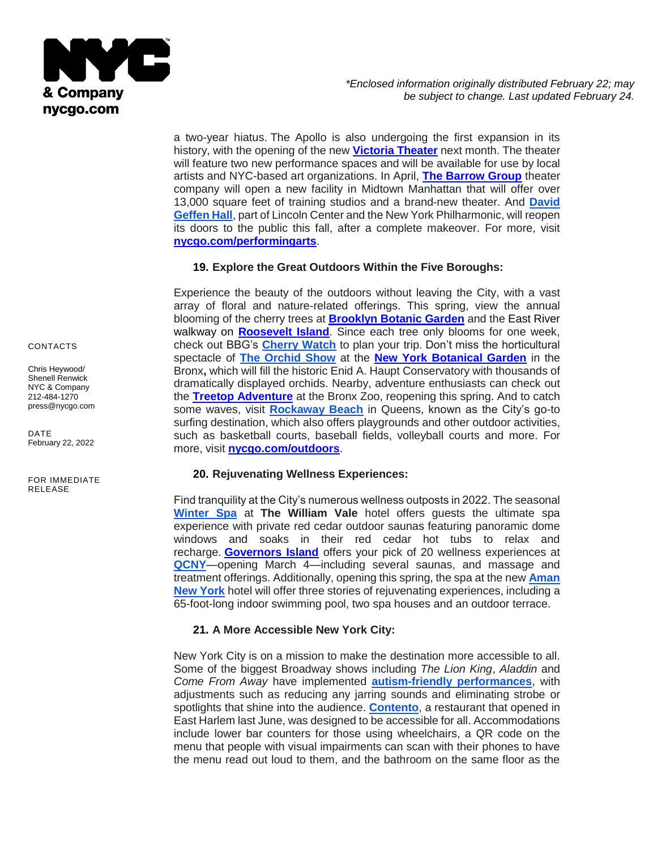

a two-year hiatus. The Apollo is also undergoing the first expansion in its history, with the opening of the new **[Victoria Theater](https://www.apollotheater.org/victoria-theater/)** next month. The theater will feature two new performance spaces and will be available for use by local artists and NYC-based art organizations. In April, **[The Barrow Group](https://www.barrowgroup.org/)** theater company will open a new facility in Midtown Manhattan that will offer over 13,000 square feet of training studios and a brand-new theater. And **[David](https://www.davidgeffenhall.info/)  [Geffen Hall](https://www.davidgeffenhall.info/)**, part of Lincoln Center and the New York Philharmonic, will reopen its doors to the public this fall, after a complete makeover. For more, visit **[nycgo.com/performingarts](http://www.nycgo.com/performingarts)**.

### **19. Explore the Great Outdoors Within the Five Boroughs:**

Experience the beauty of the outdoors without leaving the City, with a vast array of floral and nature-related offerings. This spring, view the annual blooming of the cherry trees at **[Brooklyn Botanic Garden](https://www.bbg.org/)** and the [East River](https://www.traillink.com/trail/roosevelt-island-greenway/#:~:text=Roosevelt%20Island%20Greenway%2C%20a%20little,dipping%20down%20towards%20Roosevelt%20Island.)  walkway on **[Roosevelt Island](https://www.traillink.com/trail/roosevelt-island-greenway/#:~:text=Roosevelt%20Island%20Greenway%2C%20a%20little,dipping%20down%20towards%20Roosevelt%20Island.)**. Since each tree only blooms for one week, check out BBG's **[Cherry Watch](https://www.bbg.org/collections/cherries)** to plan your trip. Don't miss the horticultural spectacle of **[The Orchid Show](https://www.nybg.org/event/the-orchid-show/)** at the **[New York Botanical Garden](https://www.nybg.org/)** in the Bronx**,** which will fill the historic Enid A. Haupt Conservatory with thousands of dramatically displayed orchids. Nearby, adventure enthusiasts can check out the **[Treetop Adventure](https://bronxzootreetop.com/?_ga=2.14842303.863314968.1645196159-1217224427.1645196159&_gl=1*gg4cn9*_ga*MTIxNzIyNDQyNy4xNjQ1MTk2MTU5*_ga_BTX9HXMYSX*MTY0NTE5NjE1OS4xLjEuMTY0NTE5NjE4OC4zMQ)** at the Bronx Zoo, reopening this spring. And to catch some waves, visit **[Rockaway Beach](https://www.nycgo.com/boroughs-neighborhoods/queens/the-rockaways/)** in Queens, known as the City's go-to surfing destination, which also offers playgrounds and other outdoor activities, such as basketball courts, baseball fields, volleyball courts and more. For more, visit **[nycgo.com/outdoors](http://www.nycgo.com/outdoors)**.

#### **20. Rejuvenating Wellness Experiences:**

Find tranquility at the City's numerous wellness outposts in 2022. The seasona[l](https://www.thewilliamvale.com/winter-spa/) **[Winter Spa](https://www.thewilliamvale.com/winter-spa/)** at **The William Vale** hotel offers guests the ultimate spa experience with private red cedar outdoor saunas featuring panoramic dome windows and soaks in their red cedar hot tubs to relax and recharge. **[Governors Island](https://www.govisland.com/)** offers your pick of 20 wellness experiences at **[QCNY](https://www.qcny.com/en)**—opening March 4—including several saunas, and massage and treatment offerings. Additionally, opening this spring, the spa at the new **[Aman](https://www.aman.com/hotels/aman-new-york)  [New York](https://www.aman.com/hotels/aman-new-york)** hotel will offer three stories of rejuvenating experiences, including a 65-foot-long indoor swimming pool, two spa houses and an outdoor terrace.

#### **21. A More Accessible New York City:**

New York City is on a mission to make the destination more accessible to all. Some of the biggest Broadway shows including *The Lion King*, *Aladdin* and *Come From Away* have implemented **[autism-friendly performances](https://www.tdf.org/nyc/40/autism-friendly-performances)**, with adjustments such as reducing any jarring sounds and eliminating strobe or spotlights that shine into the audience. **[Contento](https://www.instagram.com/contentonyc/?hl=en)**, a restaurant that opened in East Harlem last June, was designed to be accessible for all. Accommodations include lower bar counters for those using wheelchairs, a QR code on the menu that people with visual impairments can scan with their phones to have the menu read out loud to them, and the bathroom on the same floor as the

CONTACTS

Chris Heywood/ Shenell Renwick NYC & Company 212-484-1270 [press@nycgo.com](mailto:press@nycgo.com)

DATE February 22, 2022